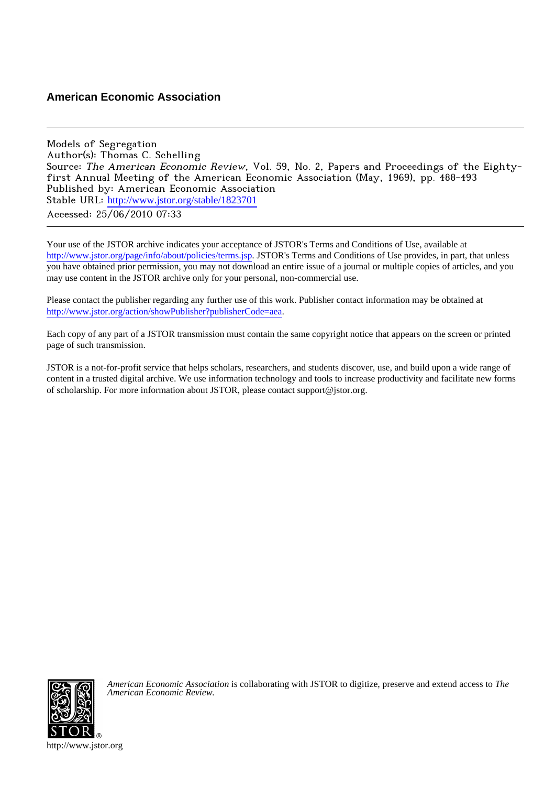## **American Economic Association**

Models of Segregation Author(s): Thomas C. Schelling Source: The American Economic Review, Vol. 59, No. 2, Papers and Proceedings of the Eightyfirst Annual Meeting of the American Economic Association (May, 1969), pp. 488-493 Published by: American Economic Association Stable URL: [http://www.jstor.org/stable/1823701](http://www.jstor.org/stable/1823701?origin=JSTOR-pdf) Accessed: 25/06/2010 07:33

Your use of the JSTOR archive indicates your acceptance of JSTOR's Terms and Conditions of Use, available at <http://www.jstor.org/page/info/about/policies/terms.jsp>. JSTOR's Terms and Conditions of Use provides, in part, that unless you have obtained prior permission, you may not download an entire issue of a journal or multiple copies of articles, and you may use content in the JSTOR archive only for your personal, non-commercial use.

Please contact the publisher regarding any further use of this work. Publisher contact information may be obtained at <http://www.jstor.org/action/showPublisher?publisherCode=aea>.

Each copy of any part of a JSTOR transmission must contain the same copyright notice that appears on the screen or printed page of such transmission.

JSTOR is a not-for-profit service that helps scholars, researchers, and students discover, use, and build upon a wide range of content in a trusted digital archive. We use information technology and tools to increase productivity and facilitate new forms of scholarship. For more information about JSTOR, please contact support@jstor.org.



*American Economic Association* is collaborating with JSTOR to digitize, preserve and extend access to *The American Economic Review.*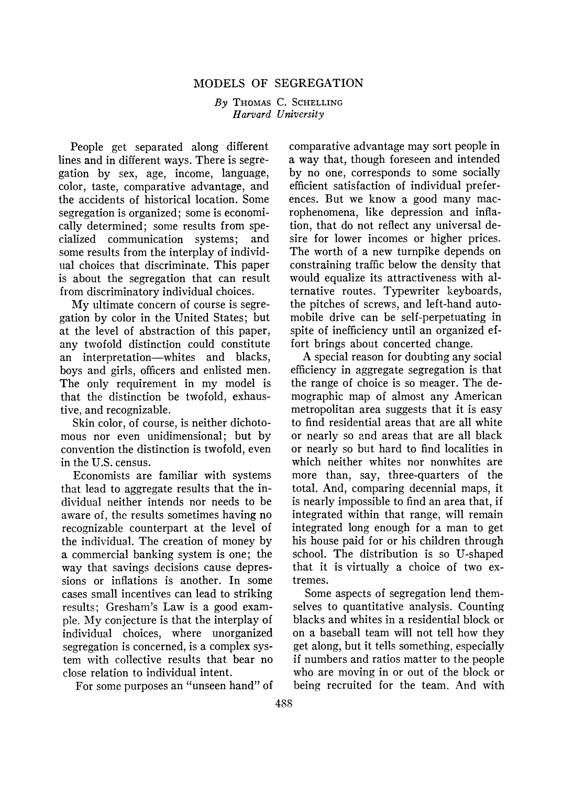## **MODELS OF SEGREGATION**

**By THOMAS C. SCHELLING IHarvard University** 

**People get separated along different lines and in different ways. There is segregation by sex, age, income, language, color, taste, comparative advantage, and the accidents of historical location. Some segregation is organized; some is economically determined; some results from specialized communication systems; and some results from the interplay of individuial choices that discriminate. This paper is about the segregation that can result from discriminatory individual choices.** 

**My ultimate concern of course is segregation by color in the United States; but at the level of abstraction of this paper, any twofold distinction could constitute an interpretation-whites and blacks, boys and girls, officers and enlisted men. The only requirement in my model is that the distinction be twofold, exhaustive, and recognizable.** 

**Skin color, of course, is neither dichotomous nor even unidimensional; but by convention the distinction is twofold, even in the U.S. census.** 

**Economists are familiar with systems that lead to aggregate results that the individual neither intends nor needs to be**  aware of, the results sometimes having no **recognizable counterpart at the level of the individual. The creation of money by a commercial banking system is one; the way that savings decisions cause depressions or inflations is another. In some cases small incentives can lead to striking results; Gresham's Law is a good example. My conjecture is that the interplay of individual choices, where unorganized segregation is concerned, is a complex system with collective results that bear no close relation to individual intent.** 

**For some purposes an "unseen hand" of** 

**comparative advantage may sort people in a way that, though foreseen and intended by no one, corresponds to some socially efficient satisfaction of individual preferences. But we know a good many macrophenomena, like depression and inflation, that do not reflect any universal desire for lower incomes or higher prices. The worth of a new turnpike depends on constraining traffic below the density that would equalize its attractiveness with alternative routes. Typewriter keyboards, the pitches of screws, and left-hand automobile drive can be self-perpetuating in spite of inefficiency until an organized effort brings about concerted change.** 

**A special reason for doubting any social efficiency in aggregate segregation is that the range of choice is so meager. The demographic map of almost any American metropolitan area suggests that it is easy to find residential areas that are all white or nearly so and areas that are all black or nearly so but hard to find localities in**  which neither whites nor nonwhites are **more than, say, three-quarters of the total. And, comparing decennial maps, it is nearly impossible to find an area that, if integrated within that range, will remain integrated long enough for a man to get his house paid for or his children through school. The distribution is so U-shaped that it is virtually a choice of two extremes.** 

**Some aspects of segregation lend themselves to quantitative analysis. Counting blacks and whites in a residential block or on a baseball team will not tell how they get along, but it tells something, especially if numbers and ratios matter to the people who are moving in or out of the block or being recruited for the team. And with**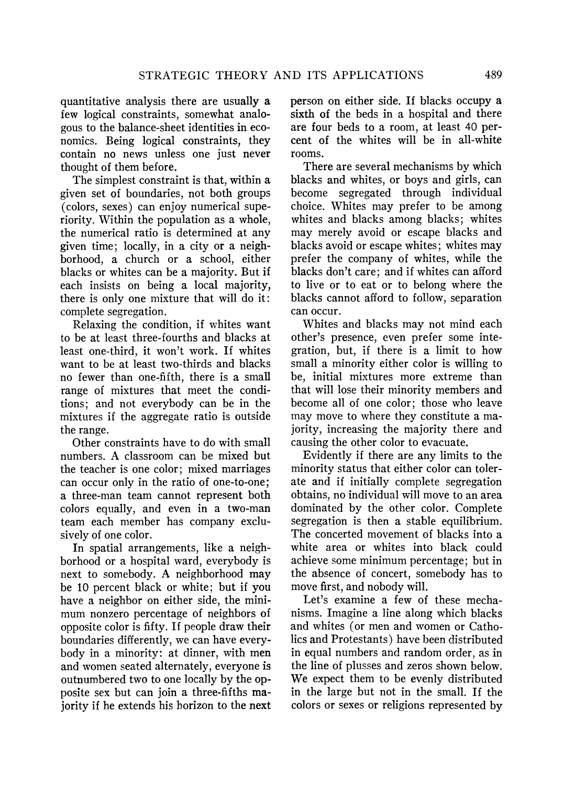**quantitative analysis there are usually a few logical constraints, somewhat analogous to the balance-sheet identities in economics. Being logical constraints, they contain no news unless one just never thought of them before.** 

**The simplest constraint is that, within a given set of boundaries, not both groups (colors, sexes) can enjoy numerical superiority. Within the population as a whole, the numerical ratio is determined at any given time; locally, in a city or a neighborhood, a church or a school, either blacks or whites can be a majority. But if each insists on being a local majority, there is only one mixture that will do it: complete segregation.** 

**Relaxing the condition, if whites want to be at least three-fourths and blacks at least one-third, it won't work. If whites want to be at least two-thirds and blacks no fewer than one-fifth, there is a small range of mixtures that meet the conditions; and not everybody can be in the mixtures if the aggregate ratio is outside the range.** 

**Other constraints have to do with small numbers. A classroom can be mixed but the teacher is one color; mixed marriages can occur only in the ratio of one-to-one; a three-man team cannot represent both colors equally, and even in a two-man team each member has company exclusively of one color.** 

**In spatial arrangements, like a neighborhood or a hospital ward, everybody is next to somebody. A neighborhood may be 10 percent black or white; but if you have a neighbor on either side, the minimum nonzero percentage of neighbors of opposite color is fifty. If people draw their boundaries differently, we can have everybody in a minority: at dinner, with men and women seated alternately, everyone is outnumbered two to one locally by the opposite sex but can join a three-fifths majority if he extends his horizon to the next**  **person on either side. If blacks occupy a sixth of the beds in a hospital and there are four beds to a room, at least 40 percent of the whites will be in all-white rooms.** 

**There are several mechanisms by which blacks and whites, or boys and girls, can become segregated through individual choice. Whites may prefer to be among whites and blacks among blacks; whites may merely avoid or escape blacks and blacks avoid or escape whites; whites may prefer the company of whites, while the blacks don't care; and if whites can afford to live or to eat or to belong where the blacks cannot afford to follow, separation can occur.** 

**Whites and blacks may not mind each other's presence, even prefer some integration, but, if there is a limit to how small a minority either color is willing to be, initial mixtures more extreme than that will lose their minority members and become all of one color; those who leave may move to where they constitute a majority, increasing the majority there and causing the other color to evacuate.** 

**Evidently if there are any limits to the minority status that either color can tolerate and if initially complete segregation obtains, no individual will move to an area dominated by the other color. Complete segregation is then a stable equilibrium. The concerted movement of blacks into a white area or whites into black could achieve some minimum percentage; but in the absence of concert, somebody has to move first, and nobody will.** 

**Let's examine a few of these mechanisms. Imagine a line along which blacks and whites (or men and women or Catholics and Protestants) have been distributed in equal numbers and random order, as in the line of plusses and zeros shown below. We expect them to be evenly distributed in the large but not in the small. If the colors or sexes or religions represented by**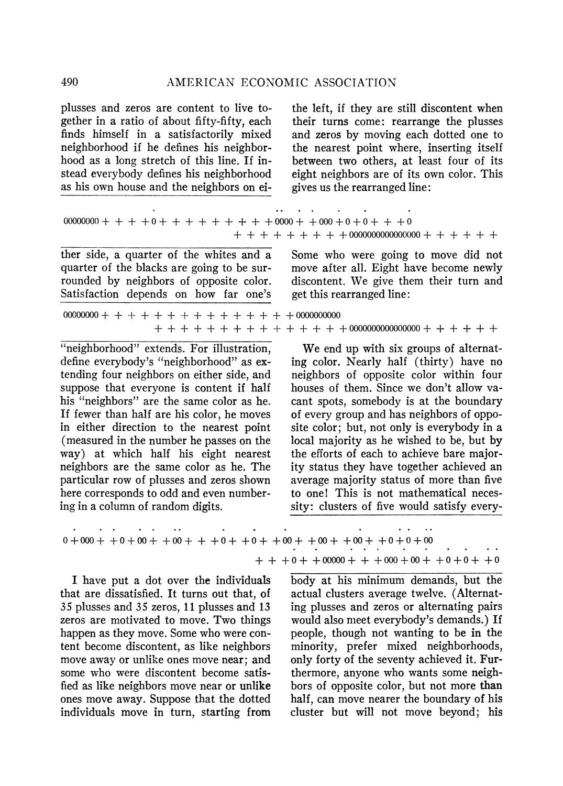**plusses and zeros are content to live together in a ratio of about fifty-fifty, each finds himself in a satisfactorily mixed neighborhood if he defines his neighborhood as a long stretch of this line. If instead everybody defines his neighborhood as his own house and the neighbors on ei-** **the left, if they are still discontent when their turns come: rearrange the plusses and zeros by moving each dotted one to the nearest point where, inserting itself between two others, at least four of its eight neighbors are of its own color. This gives us the rearranged line:** 

**00000000 + + + +++++++++ +0000 + +OOO +O + ++ + 0 + + + + + + + 0 +oooooooooooooooo + + + + ++** 

**ther side, a quarter of the whites and a quarter of the blacks are going to be surrounded by neighbors of opposite color.**  Satisfaction depends on how far one's

**00000000 + + + + + + ++++ + ++ +0000000000 + + + + + + + + + + + + + + +o000000000000000 + + + + + +** 

**"neighborhood" extends. For illustration, define everybody's "neighborhood" as extending four neighbors on either side, and suppose that everyone is content if half his "neighbors" are the same color as he. If fewer than half are his color, he moves in either direction to the nearest point (measured in the number he passes on the way) at which half his eight nearest neighbors are the same color as he. The particular row of plusses and zeros shown here corresponds to odd and even numbering, in a column of random digits.** 

**Some who were going to move did not move after all. Eight have become newly discontent. We give them their turn and get this rearranged line:** 

**We end up with six groups of alternating color. Nearly half (thirty) have no neighbors of opposite color within four houses of them. Since we don't allow vacant spots, somebody is at the boundary of every group and has neighbors of opposite color; but, not only is everybody in a local majority as he wished to be, but by the efforts of each to achieve bare majority status they have together achieved an average majority status of more than five to onel This is not mathematical necessity: clusters of five would satisfy every-**

```
\mathbf{u}=\mathbf{u} , and \mathbf{u}=\mathbf{u}+\mathbf{u} ,
0+000+ +0+00+ +00+ + +0+ +0+ +00+ +00+ +00+ +0+00+++ + 0+ + 0000+ + +000+00+ +0+0+ +0
```
**I have put a dot over the individuals that are dissatisfied. It turns out that, of 35 plusses and 35 zeros, 11 plusses and 13 zeros are motivated to move. Two things happen as they move. Some who were content become discontent, as like neighbors move away or unlike ones move near; and some who were discontent become satisfied as like neighbors move near or unlike ones move away. Suppose that the dotted individuals move in turn, starting from** 

**body at his minimum demands, but the actual clusters average twelve. (Alternating plusses and zeros or alternating pairs would also meet everybody's demands.) If people, though not wanting to be in the minority, prefer mixed neighborhoods, only forty of the seventy achieved it. Furthermore, anyone who wants some neighbors of opposite color, but not more than half, can move nearer the boundary of his cluster but will not move beyond; his**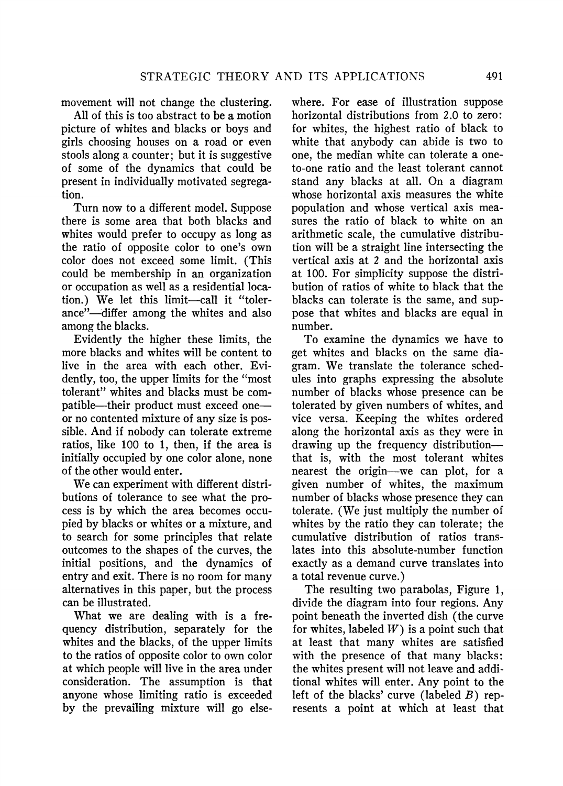**movement will not change the clustering.** 

**All of this is too abstract to be a motion picture of whites and blacks or boys and girls choosing houses on a road or even stools along a counter; but it is suggestive of some of the dynamics that could be present in individually motivated segregation.** 

**Turn now to a different model. Suppose there is some area that both blacks and whites would prefer to occupy as long as the ratio of opposite color to one's own color does not exceed some limit. (This could be membership in an organization or occupation as well as a residential location.) We let this limit-call it "tolerance"- differ among the whites and also among the blacks.** 

**Evidently the higher these limits, the more blacks and whites will be content to live in the area with each other. Evidently, too, the upper limits for the "most tolerant" whites and blacks must be compatible-their product must exceed oneor no contented mixture of any size is possible. And if nobody can tolerate extreme ratios, like 100 to 1, then, if the area is initially occupied by one color alone, none of the other would enter.** 

**We can experiment with different distributions of tolerance to see what the process is by which the area becomes occupied by blacks or whites or a mixture, and to search for some principles that relate outcomes to the shapes of the curves, the initial positions, and the dynamics of entry and exit. There is no room for many alternatives in this paper, but the process can be illustrated.** 

**What we are dealing with is a frequency distribution, separately for the whites and the blacks, of the upper limits to the ratios of opposite color to own color at which people will live in the area under consideration. The assumption is that anyone whose limiting ratio is exceeded by the prevailing mixture will go else-** **where. For ease of illustration suppose horizontal distributions from 2.0 to zero: for whites, the highest ratio of black to white that anybody can abide is two to one, the median white can tolerate a oneto-one ratio and the least tolerant cannot stand any blacks at all. On a diagram whose horizontal axis measures the white population and whose vertical axis measures the ratio of black to white on an arithmetic scale, the cumulative distribution will be a straight line intersecting the vertical axis at 2 and the horizontal axis at 100. For simplicity suppose the distribution of ratios of white to black that the blacks can tolerate is the same, and suppose that whites and blacks are equal in number.** 

**To examine the dynamics we have to get whites and blacks on the same diagram. We translate the tolerance schedules into graphs expressing the absolute number of blacks whose presence can be tolerated by given numbers of whites, and vice versa. Keeping the whites ordered along the horizontal axis as they were in drawing up the frequency distributionthat is, with the most tolerant whites nearest the origin-we can plot, for a given number of whites, the maximum number of blacks whose presence they can tolerate. (We just multiply the number of whites by the ratio they can tolerate; the cumulative distribution of ratios translates into this absolute-number function exactly as a demand curve translates into a total revenue curve.)** 

**The resulting two parabolas, Figure 1, divide the diagram into four regions. Any point beneath the inverted dish (the curve for whites, labeled W) is a point such that at least that many whites are satisfied with the presence of that many blacks: the whites present will not leave and additional whites will enter. Any point to the left of the blacks' curve (labeled B) represents a point at which at least that**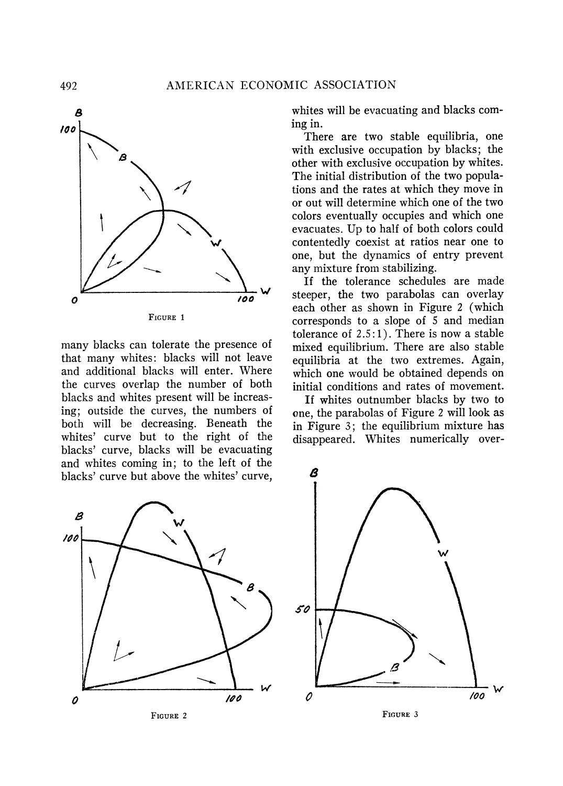

**many blacks can tolerate the presence of that many whites: blacks will not leave and additional blacks will enter. Where the curves overlap the number of both blacks and whites present will be increasing; outside the curves, the numbers of both will be decreasing. Beneath the whites' curve but to the right of the blacks' curve, blacks will be evacuating and whites coming in; to the left of the blacks' curve but above the whites' curve,** 



**whites will be evacuating and blacks coming in.** 

**There are two stable equilibria, one with exclusive occupation by blacks; the other with exclusive occupation by whites. The initial distribution of the two populations and the rates at which they move in or out will determine which one of the two colors eventually occupies and which one evacuates. Up to half of both colors could contentedly coexist at ratios near one to one, but the dynamics of entry prevent any mixture from stabilizing.** 

**If the tolerance schedules are made steeper, the two parabolas can overlay each other as shown in Figure 2 (which corresponds to a slope of 5 and median tolerance of 2.5: 1). There is now a stable mixed equilibrium. There are also stable equilibria at the two extremes. Again, which one would be obtained depends on initial conditions and rates of movement.** 

**If whites outnumber blacks by two to one, the parabolas of Figure 2 will look as in Figure 3; the equilibrium mixture has disappeared. Whites numerically over-**



**FIGURE 3**